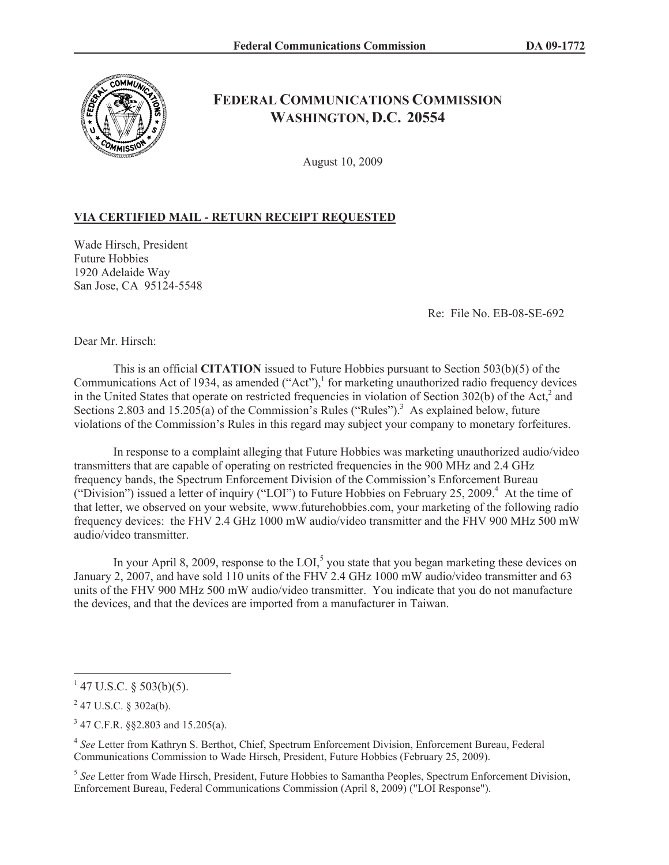

## **FEDERAL COMMUNICATIONS COMMISSION WASHINGTON, D.C. 20554**

August 10, 2009

## **VIA CERTIFIED MAIL - RETURN RECEIPT REQUESTED**

Wade Hirsch, President Future Hobbies 1920 Adelaide Way San Jose, CA 95124-5548

Re: File No. EB-08-SE-692

Dear Mr. Hirsch:

This is an official **CITATION** issued to Future Hobbies pursuant to Section 503(b)(5) of the Communications Act of 1934, as amended ("Act"),<sup>1</sup> for marketing unauthorized radio frequency devices in the United States that operate on restricted frequencies in violation of Section 302(b) of the Act,<sup>2</sup> and Sections 2.803 and 15.205(a) of the Commission's Rules ("Rules").<sup>3</sup> As explained below, future violations of the Commission's Rules in this regard may subject your company to monetary forfeitures.

In response to a complaint alleging that Future Hobbies was marketing unauthorized audio/video transmitters that are capable of operating on restricted frequencies in the 900 MHz and 2.4 GHz frequency bands, the Spectrum Enforcement Division of the Commission's Enforcement Bureau ("Division") issued a letter of inquiry ("LOI") to Future Hobbies on February 25, 2009.<sup>4</sup> At the time of that letter, we observed on your website, www.futurehobbies.com, your marketing of the following radio frequency devices: the FHV 2.4 GHz 1000 mW audio/video transmitter and the FHV 900 MHz 500 mW audio/video transmitter.

In your April 8, 2009, response to the LOI,<sup>5</sup> you state that you began marketing these devices on January 2, 2007, and have sold 110 units of the FHV 2.4 GHz 1000 mW audio/video transmitter and 63 units of the FHV 900 MHz 500 mW audio/video transmitter. You indicate that you do not manufacture the devices, and that the devices are imported from a manufacturer in Taiwan.

 $147$  U.S.C. § 503(b)(5).

 $2$  47 U.S.C. § 302a(b).

 $3$  47 C.F.R. §§2.803 and 15.205(a).

<sup>4</sup> *See* Letter from Kathryn S. Berthot, Chief, Spectrum Enforcement Division, Enforcement Bureau, Federal Communications Commission to Wade Hirsch, President, Future Hobbies (February 25, 2009).

<sup>&</sup>lt;sup>5</sup> See Letter from Wade Hirsch, President, Future Hobbies to Samantha Peoples, Spectrum Enforcement Division, Enforcement Bureau, Federal Communications Commission (April 8, 2009) ("LOI Response").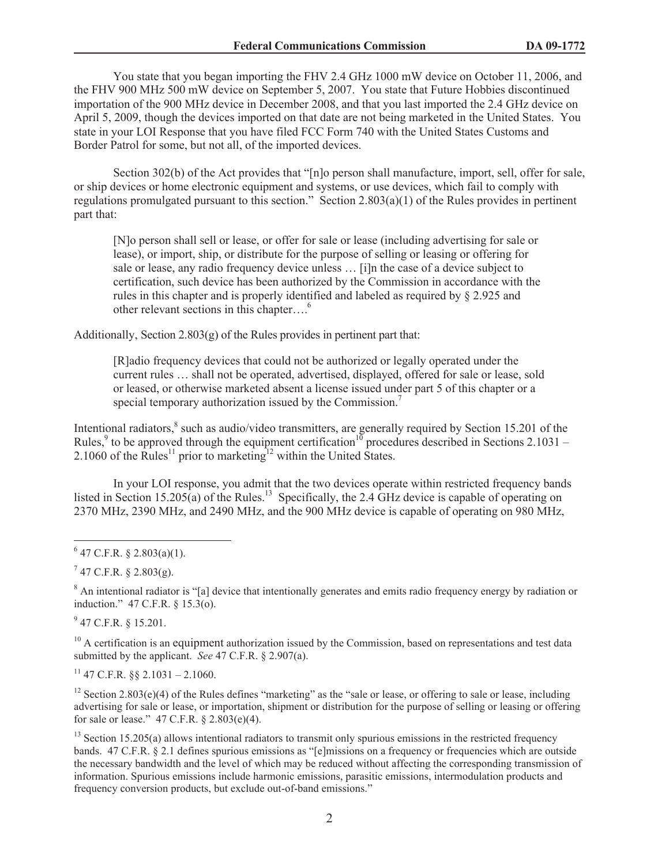You state that you began importing the FHV 2.4 GHz 1000 mW device on October 11, 2006, and the FHV 900 MHz 500 mW device on September 5, 2007. You state that Future Hobbies discontinued importation of the 900 MHz device in December 2008, and that you last imported the 2.4 GHz device on April 5, 2009, though the devices imported on that date are not being marketed in the United States. You state in your LOI Response that you have filed FCC Form 740 with the United States Customs and Border Patrol for some, but not all, of the imported devices.

Section 302(b) of the Act provides that "[n]o person shall manufacture, import, sell, offer for sale, or ship devices or home electronic equipment and systems, or use devices, which fail to comply with regulations promulgated pursuant to this section." Section 2.803(a)(1) of the Rules provides in pertinent part that:

[N]o person shall sell or lease, or offer for sale or lease (including advertising for sale or lease), or import, ship, or distribute for the purpose of selling or leasing or offering for sale or lease, any radio frequency device unless … [i]n the case of a device subject to certification, such device has been authorized by the Commission in accordance with the rules in this chapter and is properly identified and labeled as required by § 2.925 and other relevant sections in this chapter....<sup>6</sup>

Additionally, Section 2.803(g) of the Rules provides in pertinent part that:

[R]adio frequency devices that could not be authorized or legally operated under the current rules … shall not be operated, advertised, displayed, offered for sale or lease, sold or leased, or otherwise marketed absent a license issued under part 5 of this chapter or a special temporary authorization issued by the Commission.<sup>7</sup>

Intentional radiators,<sup>8</sup> such as audio/video transmitters, are generally required by Section 15.201 of the Rules,<sup>9</sup> to be approved through the equipment certification<sup>10</sup> procedures described in Sections 2.1031 – 2.1060 of the Rules<sup>11</sup> prior to marketing<sup>12</sup> within the United States.

In your LOI response, you admit that the two devices operate within restricted frequency bands listed in Section 15.205(a) of the Rules.<sup>13</sup> Specifically, the 2.4 GHz device is capable of operating on 2370 MHz, 2390 MHz, and 2490 MHz, and the 900 MHz device is capable of operating on 980 MHz,

 $7$  47 C.F.R. § 2.803(g).

<sup>8</sup> An intentional radiator is "[a] device that intentionally generates and emits radio frequency energy by radiation or induction." 47 C.F.R. § 15.3(o).

 $9$  47 C.F.R. § 15.201.

 $10$  A certification is an equipment authorization issued by the Commission, based on representations and test data submitted by the applicant. *See* 47 C.F.R. § 2.907(a).

 $11$  47 C.F.R.  $88$  2.1031 – 2.1060.

<sup>12</sup> Section 2.803(e)(4) of the Rules defines "marketing" as the "sale or lease, or offering to sale or lease, including advertising for sale or lease, or importation, shipment or distribution for the purpose of selling or leasing or offering for sale or lease." 47 C.F.R. § 2.803(e)(4).

 $13$  Section 15.205(a) allows intentional radiators to transmit only spurious emissions in the restricted frequency bands. 47 C.F.R. § 2.1 defines spurious emissions as "[e]missions on a frequency or frequencies which are outside the necessary bandwidth and the level of which may be reduced without affecting the corresponding transmission of information. Spurious emissions include harmonic emissions, parasitic emissions, intermodulation products and frequency conversion products, but exclude out-of-band emissions."

 $6$  47 C.F.R. § 2.803(a)(1).